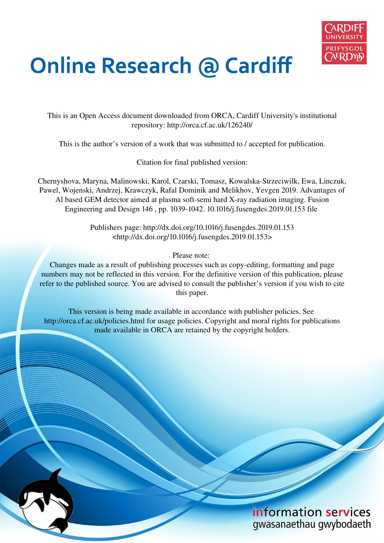

# **Online Research @ Cardiff**

This is an Open Access document downloaded from ORCA, Cardiff University's institutional repository: http://orca.cf.ac.uk/126240/

This is the author's version of a work that was submitted to / accepted for publication.

Citation for final published version:

Chernyshova, Maryna, Malinowski, Karol, Czarski, Tomasz, Kowalska-Strzeciwilk, Ewa, Linczuk, Pawel, Wojenski, Andrzej, Krawczyk, Rafal Dominik and Melikhov, Yevgen 2019. Advantages of Al based GEM detector aimed at plasma soft-semi hard X-ray radiation imaging. Fusion Engineering and Design 146 , pp. 1039-1042. 10.1016/j.fusengdes.2019.01.153 file

> Publishers page: http://dx.doi.org/10.1016/j.fusengdes.2019.01.153 <http://dx.doi.org/10.1016/j.fusengdes.2019.01.153>

> > Please note:

Changes made as a result of publishing processes such as copy-editing, formatting and page numbers may not be reflected in this version. For the definitive version of this publication, please refer to the published source. You are advised to consult the publisher's version if you wish to cite this paper.

This version is being made available in accordance with publisher policies. See http://orca.cf.ac.uk/policies.html for usage policies. Copyright and moral rights for publications made available in ORCA are retained by the copyright holders.

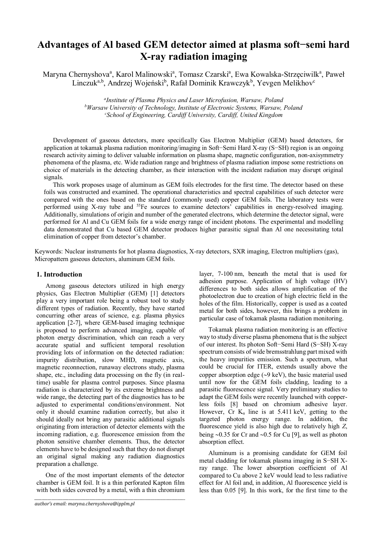# **Advantages of Al based GEM detector aimed at plasma soft−semi hard X-ray radiation imaging**

Maryna Chernyshova<sup>a</sup>, Karol Malinowski<sup>a</sup>, Tomasz Czarski<sup>a</sup>, Ewa Kowalska-Strzęciwilk<sup>a</sup>, Paweł Linczuk<sup>a,b</sup>, Andrzej Wojeński<sup>b</sup>, Rafał Dominik Krawczyk<sup>b</sup>, Yevgen Melikhov<sup>c</sup>

> *a Institute of Plasma Physics and Laser Microfusion, Warsaw, Poland <sup>b</sup>Warsaw University of Technology, Institute of Electronic Systems, Warsaw, Poland <sup>c</sup>School of Engineering, Cardiff University, Cardiff, United Kingdom*

Development of gaseous detectors, more specifically Gas Electron Multiplier (GEM) based detectors, for application at tokamak plasma radiation monitoring/imaging in Soft−Semi Hard X-ray (S−SH) region is an ongoing research activity aiming to deliver valuable information on plasma shape, magnetic configuration, non-axisymmetry phenomena of the plasma, etc. Wide radiation range and brightness of plasma radiation impose some restrictions on choice of materials in the detecting chamber, as their interaction with the incident radiation may disrupt original signals.

This work proposes usage of aluminum as GEM foils electrodes for the first time. The detector based on these foils was constructed and examined. The operational characteristics and spectral capabilities of such detector were compared with the ones based on the standard (commonly used) copper GEM foils. The laboratory tests were performed using X-ray tube and <sup>55</sup>Fe sources to examine detectors' capabilities in energy-resolved imaging. Additionally, simulations of origin and number of the generated electrons, which determine the detector signal, were performed for Al and Cu GEM foils for a wide energy range of incident photons. The experimental and modelling data demonstrated that Cu based GEM detector produces higher parasitic signal than Al one necessitating total elimination of copper from detector's chamber.

Keywords: Nuclear instruments for hot plasma diagnostics, X-ray detectors, SXR imaging, Electron multipliers (gas), Micropattern gaseous detectors, aluminum GEM foils.

# **1. Introduction**

Among gaseous detectors utilized in high energy physics, Gas Electron Multiplier (GEM) [1] detectors play a very important role being a robust tool to study different types of radiation. Recently, they have started concurring other areas of science, e.g. plasma physics application [2-7], where GEM-based imaging technique is proposed to perform advanced imaging, capable of photon energy discrimination, which can reach a very accurate spatial and sufficient temporal resolution providing lots of information on the detected radiation: impurity distribution, slow MHD, magnetic axis, magnetic reconnection, runaway electrons study, plasma shape, etc., including data processing on the fly (in realtime) usable for plasma control purposes. Since plasma radiation is characterized by its extreme brightness and wide range, the detecting part of the diagnostics has to be adjusted to experimental conditions/environment. Not only it should examine radiation correctly, but also it should ideally not bring any parasitic additional signals originating from interaction of detector elements with the incoming radiation, e.g. fluorescence emission from the photon sensitive chamber elements. Thus, the detector elements have to be designed such that they do not disrupt an original signal making any radiation diagnostics preparation a challenge.

One of the most important elements of the detector chamber is GEM foil. It is a thin perforated Kapton film with both sides covered by a metal, with a thin chromium

*\_\_\_\_\_\_\_\_\_\_\_\_\_\_\_\_\_\_\_\_\_\_\_\_\_\_\_\_\_\_\_\_\_\_\_\_\_\_\_\_\_\_\_\_\_\_\_\_\_\_\_\_\_\_\_\_\_\_\_\_\_\_\_\_\_\_\_\_\_\_\_\_\_\_\_\_\_\_\_* 

layer, 7-100 nm, beneath the metal that is used for adhesion purpose. Application of high voltage (HV) differences to both sides allows amplification of the photoelectron due to creation of high electric field in the holes of the film. Historically, copper is used as a coated metal for both sides, however, this brings a problem in particular case of tokamak plasma radiation monitoring.

Tokamak plasma radiation monitoring is an effective way to study diverse plasma phenomena that is the subject of our interest. Its photon Soft−Semi Hard (S−SH) X-ray spectrum consists of wide bremsstrahlung part mixed with the heavy impurities emission. Such a spectrum, what could be crucial for ITER, extends usually above the copper absorption edge  $(\sim 9 \text{ keV})$ , the basic material used until now for the GEM foils cladding, leading to a parasitic fluorescence signal. Very preliminary studies to adapt the GEM foils were recently launched with copperless foils [8] based on chromium adhesive layer. However, Cr  $K_{\alpha}$  line is at 5.411 keV, getting to the targeted photon energy range. In addition, the fluorescence yield is also high due to relatively high *Z*, being  $\sim 0.35$  for Cr and  $\sim 0.5$  for Cu [9], as well as photon absorption effect.

Aluminum is a promising candidate for GEM foil metal cladding for tokamak plasma imaging in S−SH Xray range. The lower absorption coefficient of Al compared to Cu above 2 keV would lead to less radiative effect for Al foil and, in addition, Al fluorescence yield is less than 0.05 [9]. In this work, for the first time to the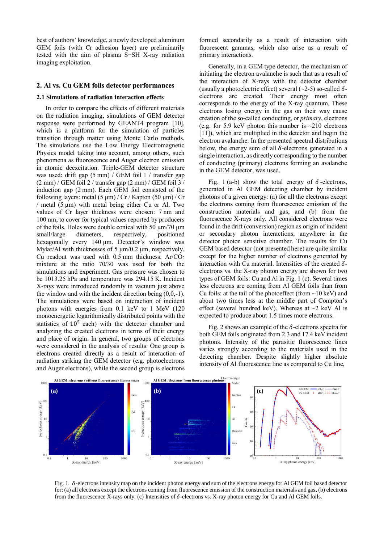best of authors' knowledge, a newly developed aluminum GEM foils (with Cr adhesion layer) are preliminarily tested with the aim of plasma S−SH X-ray radiation imaging exploitation.

# **2. Al vs. Cu GEM foils detector performances**

#### **2.1 Simulations of radiation interaction effects**

In order to compare the effects of different materials on the radiation imaging, simulations of GEM detector response were performed by GEANT4 program [10], which is a platform for the simulation of particles transition through matter using Monte Carlo methods. The simulations use the Low Energy Electromagnetic Physics model taking into account, among others, such phenomena as fluorescence and Auger electron emission in atomic deexcitation. Triple-GEM detector structure was used: drift gap (5 mm) / GEM foil 1 / transfer gap  $(2 \text{ mm})$  / GEM foil 2 / transfer gap  $(2 \text{ mm})$  / GEM foil 3 / induction gap (2 mm). Each GEM foil consisted of the following layers: metal  $(5 \mu m)/Cr$  / Kapton  $(50 \mu m)/Cr$  $/$  metal (5  $\mu$ m) with metal being either Cu or Al. Two values of Cr layer thickness were chosen: 7 nm and 100 nm, to cover for typical values reported by producers of the foils. Holes were double conical with 50  $\mu$ m/70  $\mu$ m small/large diameters, respectively, positioned hexagonally every 140  $\mu$ m. Detector's window was Mylar/Al with thicknesses of 5  $\mu$ m/0.2  $\mu$ m, respectively. Cu readout was used with  $0.5$  mm thickness. Ar/CO<sub>2</sub> mixture at the ratio 70/30 was used for both the simulations and experiment. Gas pressure was chosen to be 1013.25 hPa and temperature was 294.15 K. Incident X-rays were introduced randomly in vacuum just above the window and with the incident direction being (0,0,-1). The simulations were based on interaction of incident photons with energies from 0.1 keV to 1 MeV (120 monoenergetic logarithmically distributed points with the statistics of  $10<sup>5</sup>$  each) with the detector chamber and analyzing the created electrons in terms of their energy and place of origin. In general, two groups of electrons were considered in the analysis of results. One group is electrons created directly as a result of interaction of radiation striking the GEM detector (e.g. photoelectrons and Auger electrons), while the second group is electrons

formed secondarily as a result of interaction with fluorescent gammas, which also arise as a result of primary interactions.

Generally, in a GEM type detector, the mechanism of initiating the electron avalanche is such that as a result of the interaction of X-rays with the detector chamber (usually a photoelectric effect) several  $(\sim 2-5)$  so-called  $\delta$ electrons are created. Their energy most often corresponds to the energy of the X-ray quantum. These electrons losing energy in the gas on their way cause creation of the so-called conducting, or *primary*, electrons (e.g. for 5.9 keV photon this number is  $\sim$ 210 electrons [11]), which are multiplied in the detector and begin the electron avalanche. In the presented spectral distributions below, the energy sum of all  $\delta$ -electrons generated in a single interaction, as directly corresponding to the number of conducting (primary) electrons forming an avalanche in the GEM detector, was used.

[Fig. 1 \(](#page-2-0)a-b) show the total energy of  $\delta$ -electrons, generated in Al GEM detecting chamber by incident photons of a given energy: (a) for all the electrons except the electrons coming from fluorescence emission of the construction materials and gas, and (b) from the fluorescence X-rays only. All considered electrons were found in the drift (conversion) region as origin of incident or secondary photon interactions, anywhere in the detector photon sensitive chamber. The results for Cu GEM based detector (not presented here) are quite similar except for the higher number of electrons generated by interaction with Cu material. Intensities of the created  $\delta$ electrons vs. the X-ray photon energy are shown for two types of GEM foils: Cu and Al in [Fig. 1](#page-2-0) (c). Several times less electrons are coming from Al GEM foils than from Cu foils: at the tail of the photoeffect (from  $\sim$ 10 keV) and about two times less at the middle part of Compton's effect (several hundred keV). Whereas at  $\sim$ 2 keV Al is expected to produce about 1.5 times more electrons.

[Fig. 2](#page-3-0) shows an example of the  $\delta$ -electrons spectra for both GEM foils originated from 2.3 and 17.4 keV incident photons. Intensity of the parasitic fluorescence lines varies strongly according to the materials used in the detecting chamber. Despite slightly higher absolute intensity of Al fluorescence line as compared to Cu line,



<span id="page-2-0"></span>Fig. 1.  $\delta$ -electrons intensity map on the incident photon energy and sum of the electrons energy for Al GEM foil based detector for: (a) all electrons except the electrons coming from fluorescence emission of the construction materials and gas, (b) electrons from the fluorescence X-rays only. (c) Intensities of  $\delta$ -electrons vs. X-ray photon energy for Cu and Al GEM foils.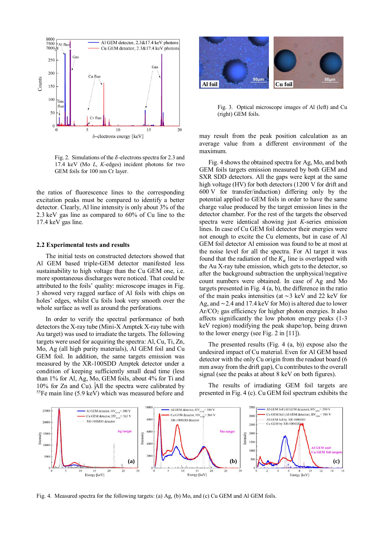

<span id="page-3-0"></span>Fig. 2. Simulations of the  $\delta$ -electrons spectra for 2.3 and 17.4 keV (Mo *L*, *K*-edges) incident photons for two GEM foils for 100 nm Cr layer.

the ratios of fluorescence lines to the corresponding excitation peaks must be compared to identify a better detector. Clearly, Al line intensity is only about 3% of the 2.3 keV gas line as compared to 60% of Cu line to the 17.4 keV gas line.

#### **2.2 Experimental tests and results**

The initial tests on constructed detectors showed that Al GEM based triple-GEM detector manifested less sustainability to high voltage than the Cu GEM one, i.e. more spontaneous discharges were noticed. That could be attributed to the foils' quality: microscope images in [Fig.](#page-3-1)  [3](#page-3-1) showed very ragged surface of Al foils with chips on holes' edges, whilst Cu foils look very smooth over the whole surface as well as around the perforations.

In order to verify the spectral performance of both detectors the X-ray tube (Mini-X Amptek X-ray tube with Au target) was used to irradiate the targets. The following targets were used for acquiring the spectra: Al, Cu, Ti, Zn, Mo, Ag (all high purity materials), Al GEM foil and Cu GEM foil. In addition, the same targets emission was measured by the XR-100SDD Amptek detector under a condition of keeping sufficiently small dead time (less than 1% for Al, Ag, Mo, GEM foils, about 4% for Ti and 10% for Zn and Cu). All the spectra were calibrated by <sup>55</sup>Fe main line (5.9 keV) which was measured before and



<span id="page-3-1"></span>Fig. 3. Optical microscope images of Al (left) and Cu (right) GEM foils.

may result from the peak position calculation as an average value from a different environment of the maximum.

[Fig. 4](#page-3-2) shows the obtained spectra for Ag, Mo, and both GEM foils targets emission measured by both GEM and SXR SDD detectors. All the gaps were kept at the same high voltage (HV) for both detectors (1200 V for drift and 600 V for transfer/induction) differing only by the potential applied to GEM foils in order to have the same charge value produced by the target emission lines in the detector chamber. For the rest of the targets the observed spectra were identical showing just *K*-series emission lines. In case of Cu GEM foil detector their energies were not enough to excite the Cu elements, but in case of Al GEM foil detector Al emission was found to be at most at the noise level for all the spectra. For Al target it was found that the radiation of the  $K_{\alpha}$  line is overlapped with the Au X-ray tube emission, which gets to the detector, so after the background subtraction the unphysical/negative count numbers were obtained. In case of Ag and Mo targets presented i[n Fig. 4](#page-3-2) (a, b), the difference in the ratio of the main peaks intensities (at  $\sim$ 3 keV and 22 keV for Ag, and  $\sim$  2.4 and 17.4 keV for Mo) is altered due to lower  $Ar/CO<sub>2</sub>$  gas efficiency for higher photon energies. It also affects significantly the low photon energy peaks (1-3 keV region) modifying the peak shape/top, being drawn to the lower energy (see Fig. 2 in [11]).

The presented results [\(Fig. 4](#page-3-2) (a, b)) expose also the undesired impact of Cu material. Even for Al GEM based detector with the only Cu origin from the readout board (6 mm away from the drift gap), Cu contributes to the overall signal (see the peaks at about 8 keV on both figures).

The results of irradiating GEM foil targets are presented i[n Fig. 4](#page-3-2) (c). Cu GEM foil spectrum exhibits the



<span id="page-3-2"></span>Fig. 4. Measured spectra for the following targets: (a) Ag, (b) Mo, and (c) Cu GEM and Al GEM foils.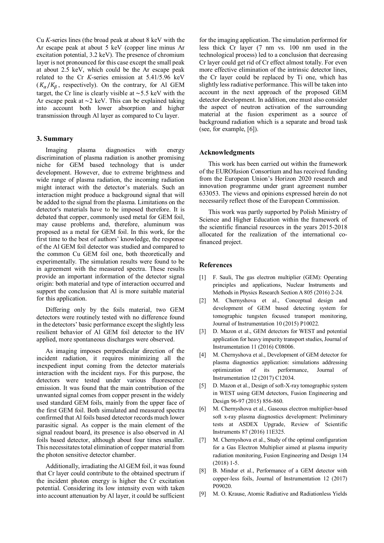Cu *K*-series lines (the broad peak at about 8 keV with the Ar escape peak at about 5 keV (copper line minus Ar excitation potential, 3.2 keV). The presence of chromium layer is not pronounced for this case except the small peak at about 2.5 keV, which could be the Ar escape peak related to the Cr *K*-series emission at 5.41/5.96 keV  $(K_{\alpha}/K_{\beta})$ , respectively). On the contrary, for Al GEM target, the Cr line is clearly visible at  $\sim$  5.5 keV with the Ar escape peak at  $\sim$ 2 keV. This can be explained taking into account both lower absorption and higher transmission through Al layer as compared to Cu layer.

# **3. Summary**

Imaging plasma diagnostics with energy discrimination of plasma radiation is another promising niche for GEM based technology that is under development. However, due to extreme brightness and wide range of plasma radiation, the incoming radiation might interact with the detector's materials. Such an interaction might produce a background signal that will be added to the signal from the plasma. Limitations on the detector's materials have to be imposed therefore. It is debated that copper, commonly used metal for GEM foil, may cause problems and, therefore, aluminum was proposed as a metal for GEM foil. In this work, for the first time to the best of authors' knowledge, the response of the Al GEM foil detector was studied and compared to the common Cu GEM foil one, both theoretically and experimentally. The simulation results were found to be in agreement with the measured spectra. These results provide an important information of the detector signal origin: both material and type of interaction occurred and support the conclusion that Al is more suitable material for this application.

Differing only by the foils material, two GEM detectors were routinely tested with no difference found in the detectors' basic performance except the slightly less resilient behavior of Al GEM foil detector to the HV applied, more spontaneous discharges were observed.

As imaging imposes perpendicular direction of the incident radiation, it requires minimizing all the inexpedient input coming from the detector materials interaction with the incident rays. For this purpose, the detectors were tested under various fluorescence emission. It was found that the main contribution of the unwanted signal comes from copper present in the widely used standard GEM foils, mainly from the upper face of the first GEM foil. Both simulated and measured spectra confirmed that Al foils based detector records much lower parasitic signal. As copper is the main element of the signal readout board, its presence is also observed in Al foils based detector, although about four times smaller. This necessitates total elimination of copper material from the photon sensitive detector chamber.

Additionally, irradiating the Al GEM foil, it was found that Cr layer could contribute to the obtained spectrum if the incident photon energy is higher the Cr excitation potential. Considering its low intensity even with taken into account attenuation by Al layer, it could be sufficient

for the imaging application. The simulation performed for less thick Cr layer (7 nm vs. 100 nm used in the technological process) led to a conclusion that decreasing Cr layer could get rid of Cr effect almost totally. For even more effective elimination of the intrinsic detector lines, the Cr layer could be replaced by Ti one, which has slightly less radiative performance. This will be taken into account in the next approach of the proposed GEM detector development. In addition, one must also consider the aspect of neutron activation of the surrounding material at the fusion experiment as a source of background radiation which is a separate and broad task (see, for example,  $[6]$ ).

# **Acknowledgments**

This work has been carried out within the framework of the EUROfusion Consortium and has received funding from the European Union's Horizon 2020 research and innovation programme under grant agreement number 633053. The views and opinions expressed herein do not necessarily reflect those of the European Commission.

This work was partly supported by Polish Ministry of Science and Higher Education within the framework of the scientific financial resources in the years 2015-2018 allocated for the realization of the international cofinanced project.

# **References**

- [1] F. Sauli, The gas electron multiplier (GEM): Operating principles and applications, Nuclear Instruments and Methods in Physics Research Section A 805 (2016) 2-24.
- [2] M. Chernyshova et al., Conceptual design and development of GEM based detecting system for tomographic tungsten focused transport monitoring, Journal of Instrumentation 10 (2015) P10022.
- [3] D. Mazon et al., GEM detectors for WEST and potential application for heavy impurity transport studies, Journal of Instrumentation 11 (2016) C08006.
- [4] M. Chernyshova et al., Development of GEM detector for plasma diagnostics application: simulations addressing optimization of its performance, Journal of Instrumentation 12 (2017) C12034.
- [5] D. Mazon et al., Design of soft-X-ray tomographic system in WEST using GEM detectors, Fusion Engineering and Design 96-97 (2015) 856-860.
- [6] M. Chernyshova et al., Gaseous electron multiplier-based soft x-ray plasma diagnostics development: Preliminary tests at ASDEX Upgrade, Review of Scientific Instruments 87 (2016) 11E325.
- [7] M. Chernyshova et al., Study of the optimal configuration for a Gas Electron Multiplier aimed at plasma impurity radiation monitoring, Fusion Engineering and Design 134 (2018) 1-5.
- [8] B. Mindur et al., Performance of a GEM detector with copper-less foils, Journal of Instrumentation 12 (2017) P09020.
- [9] M. O. Krause, Atomic Radiative and Radiationless Yields